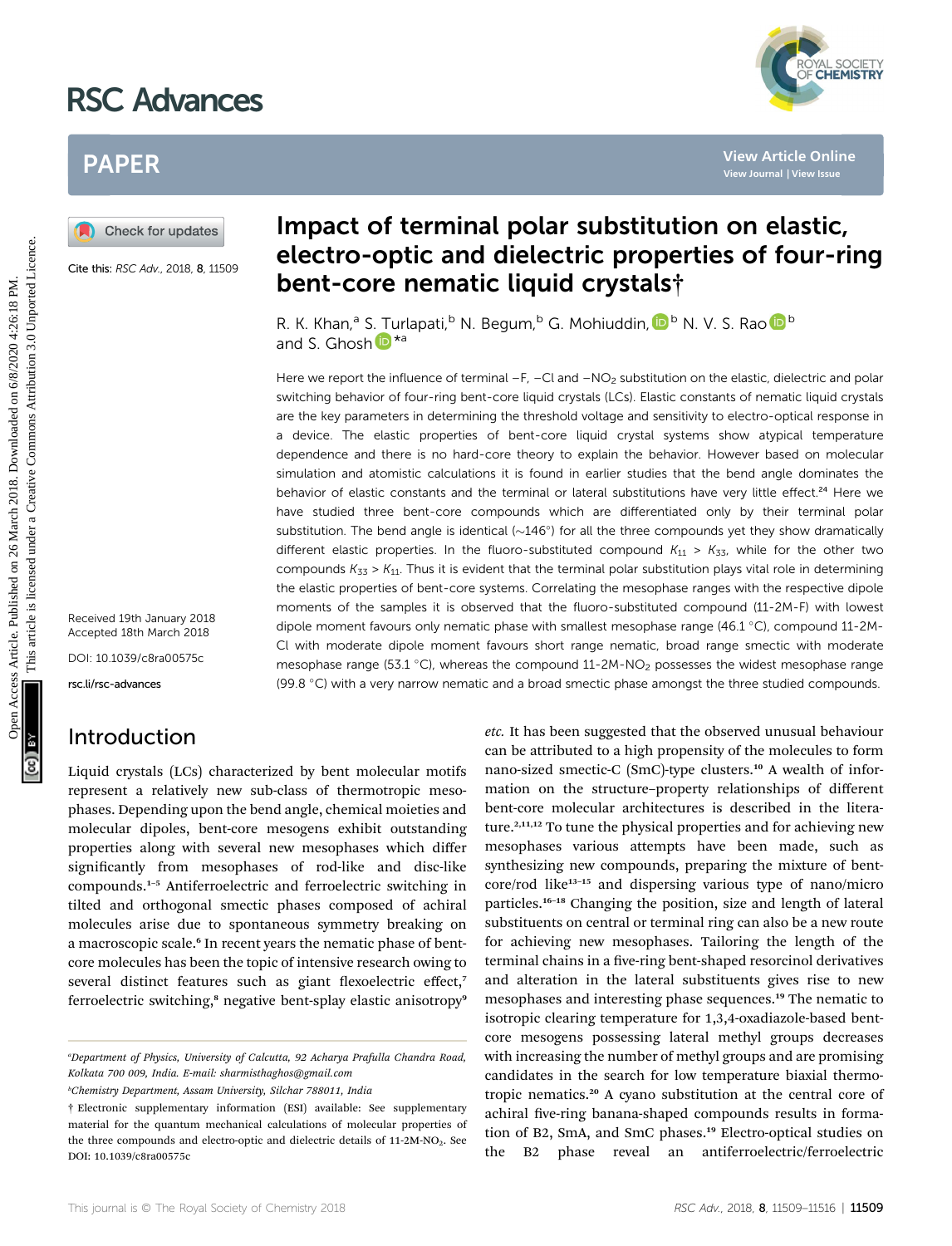# RSC Advances



## PAPER

Cite this: RSC Adv., 2018, 8, 11509

Received 19th January 2018 Accepted 18th March 2018

DOI: 10.1039/c8ra00575c

rsc.li/rsc-advances

## Introduction

Liquid crystals (LCs) characterized by bent molecular motifs represent a relatively new sub-class of thermotropic mesophases. Depending upon the bend angle, chemical moieties and molecular dipoles, bent-core mesogens exhibit outstanding properties along with several new mesophases which differ significantly from mesophases of rod-like and disc-like compounds.<sup>1</sup>–<sup>5</sup> Antiferroelectric and ferroelectric switching in tilted and orthogonal smectic phases composed of achiral molecules arise due to spontaneous symmetry breaking on a macroscopic scale.<sup>6</sup> In recent years the nematic phase of bentcore molecules has been the topic of intensive research owing to several distinct features such as giant flexoelectric effect, $7$ ferroelectric switching,<sup>8</sup> negative bent-splay elastic anisotropy<sup>9</sup>

b Chemistry Department, Assam University, Silchar 788011, India

## Impact of terminal polar substitution on elastic, electro-optic and dielectric properties of four-ring bent-core nematic liquid crystals†

R. K. Khan,<sup>a</sup> [S.](http://orcid.org/0000-0002-4375-5652) [Tu](http://orcid.org/0000-0002-4375-5652)rlapati,<sup>b</sup> N. Begum,<sup>b</sup> G. Mohiuddin, D<sup>b</sup> N. V. S. Rao D<sup>b</sup> and S. Ghosh<sup>D\*a</sup>

Here we report the influence of terminal –F, –Cl and –NO<sub>2</sub> substitution on the elastic, dielectric and polar switching behavior of four-ring bent-core liquid crystals (LCs). Elastic constants of nematic liquid crystals are the key parameters in determining the threshold voltage and sensitivity to electro-optical response in a device. The elastic properties of bent-core liquid crystal systems show atypical temperature dependence and there is no hard-core theory to explain the behavior. However based on molecular simulation and atomistic calculations it is found in earlier studies that the bend angle dominates the behavior of elastic constants and the terminal or lateral substitutions have very little effect.<sup>24</sup> Here we have studied three bent-core compounds which are differentiated only by their terminal polar substitution. The bend angle is identical  $(\sim 146^\circ)$  for all the three compounds yet they show dramatically different elastic properties. In the fluoro-substituted compound  $K_{11} > K_{33}$ , while for the other two compounds  $K_{33} > K_{11}$ . Thus it is evident that the terminal polar substitution plays vital role in determining the elastic properties of bent-core systems. Correlating the mesophase ranges with the respective dipole moments of the samples it is observed that the fluoro-substituted compound (11-2M-F) with lowest dipole moment favours only nematic phase with smallest mesophase range  $(46.1 \degree C)$ , compound 11-2M-Cl with moderate dipole moment favours short range nematic, broad range smectic with moderate mesophase range (53.1 °C), whereas the compound  $11\text{-}2M-NO<sub>2</sub>$  possesses the widest mesophase range (99.8  $^{\circ}$ C) with a very narrow nematic and a broad smectic phase amongst the three studied compounds. **PAPER**<br> **IMPACT of terminal polar substitution on elastic,<br>
Several the substitution on elastic,<br>
Several the substitution on elastic,<br>
Several the substitution on elastic,<br>
Several the substitution of the substitution o** 

etc. It has been suggested that the observed unusual behaviour can be attributed to a high propensity of the molecules to form nano-sized smectic-C (SmC)-type clusters.<sup>10</sup> A wealth of information on the structure–property relationships of different bent-core molecular architectures is described in the literature.<sup>2,11,12</sup> To tune the physical properties and for achieving new mesophases various attempts have been made, such as synthesizing new compounds, preparing the mixture of bent $core/rod$  like<sup>13-15</sup> and dispersing various type of nano/micro particles.<sup>16</sup>–<sup>18</sup> Changing the position, size and length of lateral substituents on central or terminal ring can also be a new route for achieving new mesophases. Tailoring the length of the terminal chains in a five-ring bent-shaped resorcinol derivatives and alteration in the lateral substituents gives rise to new mesophases and interesting phase sequences.<sup>19</sup> The nematic to isotropic clearing temperature for 1,3,4-oxadiazole-based bentcore mesogens possessing lateral methyl groups decreases with increasing the number of methyl groups and are promising candidates in the search for low temperature biaxial thermotropic nematics.<sup>20</sup> A cyano substitution at the central core of achiral five-ring banana-shaped compounds results in formation of B2, SmA, and SmC phases.<sup>19</sup> Electro-optical studies on the B2 phase reveal an antiferroelectric/ferroelectric

a Department of Physics, University of Calcutta, 92 Acharya Prafulla Chandra Road, Kolkata 700 009, India. E-mail: sharmisthaghos@gmail.com

<sup>†</sup> Electronic supplementary information (ESI) available: See supplementary material for the quantum mechanical calculations of molecular properties of the three compounds and electro-optic and dielectric details of 11-2M-NO<sub>2</sub>. See DOI: 10.1039/c8ra00575c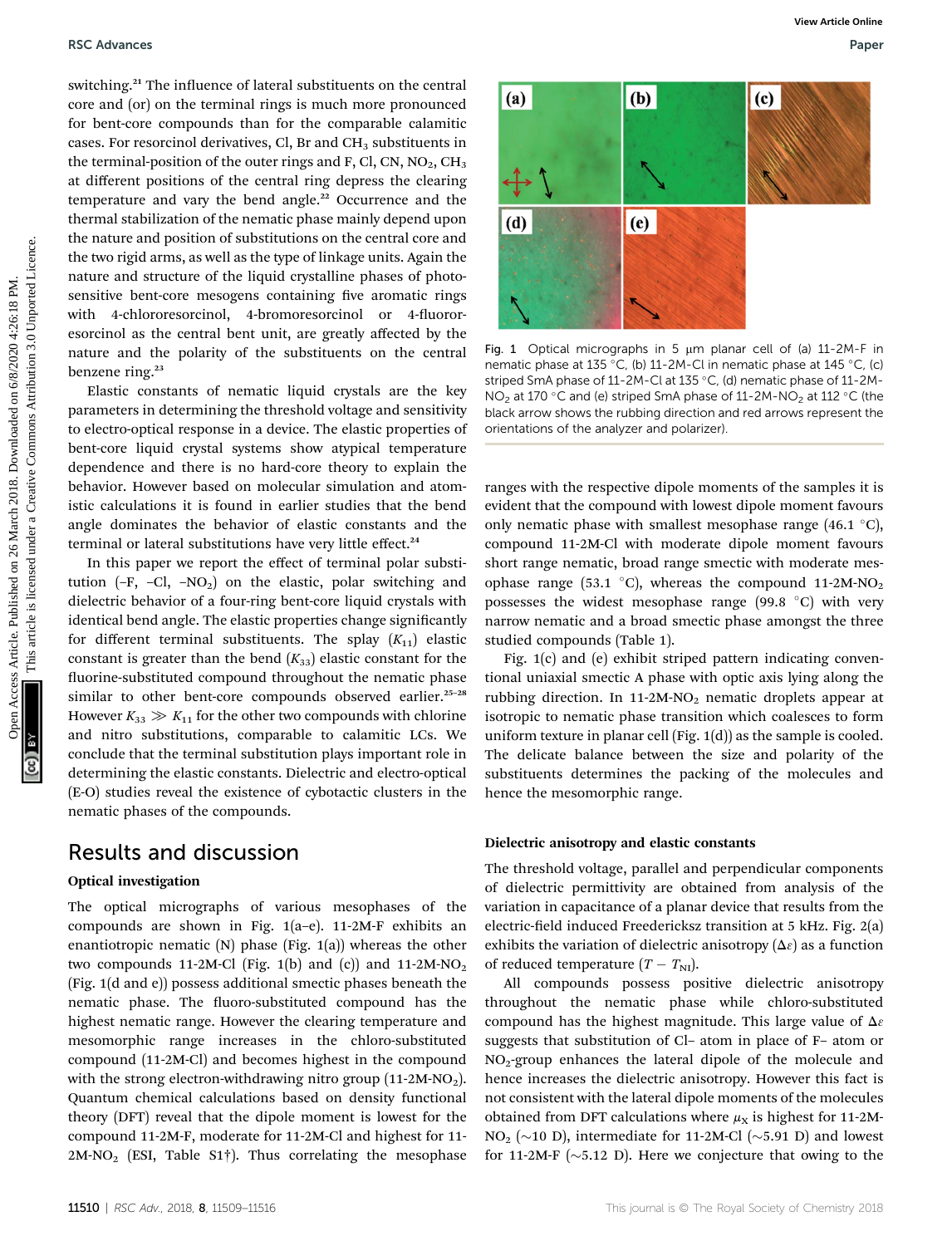switching.<sup>21</sup> The influence of lateral substituents on the central core and (or) on the terminal rings is much more pronounced for bent-core compounds than for the comparable calamitic cases. For resorcinol derivatives, Cl, Br and  $CH<sub>3</sub>$  substituents in the terminal-position of the outer rings and F, Cl, CN,  $NO<sub>2</sub>$ , CH<sub>3</sub> at different positions of the central ring depress the clearing temperature and vary the bend angle.<sup>22</sup> Occurrence and the thermal stabilization of the nematic phase mainly depend upon the nature and position of substitutions on the central core and the two rigid arms, as well as the type of linkage units. Again the nature and structure of the liquid crystalline phases of photosensitive bent-core mesogens containing five aromatic rings with 4-chlororesorcinol, 4-bromoresorcinol or 4-fluororesorcinol as the central bent unit, are greatly affected by the nature and the polarity of the substituents on the central benzene ring.<sup>23</sup> Open Access Article. Published on 26 March 2018. Downloaded on 6/8/2020 4:26:18 PM. This article is licensed under a [Creative Commons Attribution 3.0 Unported Licence.](http://creativecommons.org/licenses/by/3.0/) **[View Article Online](https://doi.org/10.1039/c8ra00575c)**

Elastic constants of nematic liquid crystals are the key parameters in determining the threshold voltage and sensitivity to electro-optical response in a device. The elastic properties of bent-core liquid crystal systems show atypical temperature dependence and there is no hard-core theory to explain the behavior. However based on molecular simulation and atomistic calculations it is found in earlier studies that the bend angle dominates the behavior of elastic constants and the terminal or lateral substitutions have very little effect.<sup>24</sup>

In this paper we report the effect of terminal polar substitution  $(-F, -Cl, -NO<sub>2</sub>)$  on the elastic, polar switching and dielectric behavior of a four-ring bent-core liquid crystals with identical bend angle. The elastic properties change significantly for different terminal substituents. The splay  $(K_{11})$  elastic constant is greater than the bend  $(K_{33})$  elastic constant for the fluorine-substituted compound throughout the nematic phase similar to other bent-core compounds observed earlier.<sup>25-28</sup> However  $K_{33} \gg K_{11}$  for the other two compounds with chlorine and nitro substitutions, comparable to calamitic LCs. We conclude that the terminal substitution plays important role in determining the elastic constants. Dielectric and electro-optical (E-O) studies reveal the existence of cybotactic clusters in the nematic phases of the compounds.

### Results and discussion

#### Optical investigation

The optical micrographs of various mesophases of the compounds are shown in Fig. 1(a–e). 11-2M-F exhibits an enantiotropic nematic  $(N)$  phase (Fig. 1(a)) whereas the other two compounds 11-2M-Cl (Fig. 1(b) and (c)) and 11-2M-NO<sub>2</sub> (Fig. 1(d and e)) possess additional smectic phases beneath the nematic phase. The fluoro-substituted compound has the highest nematic range. However the clearing temperature and mesomorphic range increases in the chloro-substituted compound (11-2M-Cl) and becomes highest in the compound with the strong electron-withdrawing nitro group  $(11-2M-NO<sub>2</sub>)$ . Quantum chemical calculations based on density functional theory (DFT) reveal that the dipole moment is lowest for the compound 11-2M-F, moderate for 11-2M-Cl and highest for 11-  $2M-NO<sub>2</sub>$  (ESI, Table S1†). Thus correlating the mesophase



Fig. 1 Optical micrographs in 5  $\mu$ m planar cell of (a) 11-2M-F in nematic phase at 135 °C, (b) 11-2M-Cl in nematic phase at 145 °C, (c) striped SmA phase of 11-2M-Cl at 135 °C, (d) nematic phase of 11-2M- $NO<sub>2</sub>$  at 170 °C and (e) striped SmA phase of 11-2M-NO<sub>2</sub> at 112 °C (the black arrow shows the rubbing direction and red arrows represent the orientations of the analyzer and polarizer).

ranges with the respective dipole moments of the samples it is evident that the compound with lowest dipole moment favours only nematic phase with smallest mesophase range  $(46.1 \degree C)$ , compound 11-2M-Cl with moderate dipole moment favours short range nematic, broad range smectic with moderate mesophase range (53.1 °C), whereas the compound 11-2M-NO<sub>2</sub> possesses the widest mesophase range (99.8  $^{\circ}$ C) with very narrow nematic and a broad smectic phase amongst the three studied compounds (Table 1).

Fig. 1(c) and (e) exhibit striped pattern indicating conventional uniaxial smectic A phase with optic axis lying along the rubbing direction. In  $11-2M-NO<sub>2</sub>$  nematic droplets appear at isotropic to nematic phase transition which coalesces to form uniform texture in planar cell (Fig.  $1(d)$ ) as the sample is cooled. The delicate balance between the size and polarity of the substituents determines the packing of the molecules and hence the mesomorphic range.

#### Dielectric anisotropy and elastic constants

The threshold voltage, parallel and perpendicular components of dielectric permittivity are obtained from analysis of the variation in capacitance of a planar device that results from the electric-field induced Freedericksz transition at 5 kHz. Fig. 2(a) exhibits the variation of dielectric anisotropy  $(\Delta \varepsilon)$  as a function of reduced temperature  $(T - T_{\text{NL}})$ .

All compounds possess positive dielectric anisotropy throughout the nematic phase while chloro-substituted compound has the highest magnitude. This large value of  $\Delta \varepsilon$ suggests that substitution of Cl– atom in place of F– atom or NO2-group enhances the lateral dipole of the molecule and hence increases the dielectric anisotropy. However this fact is not consistent with the lateral dipole moments of the molecules obtained from DFT calculations where  $\mu_X$  is highest for 11-2M- $NO<sub>2</sub> (\sim 10 D)$ , intermediate for 11-2M-Cl ( $\sim$ 5.91 D) and lowest for 11-2M-F ( $\sim$ 5.12 D). Here we conjecture that owing to the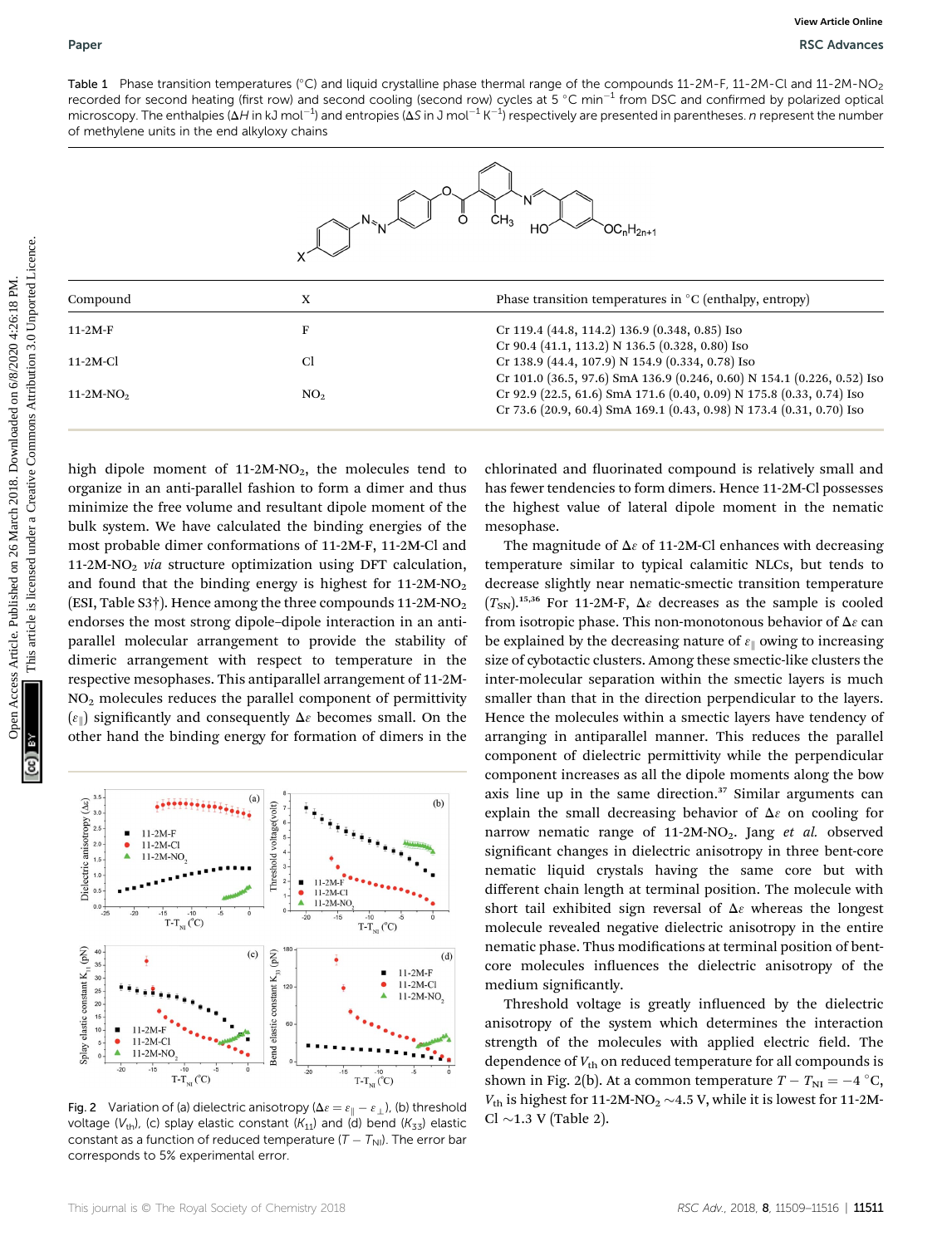Table 1 Phase transition temperatures (°C) and liquid crystalline phase thermal range of the compounds 11-2M-F, 11-2M-Cl and 11-2M-NO<sub>2</sub> recorded for second heating (first row) and second cooling (second row) cycles at 5 °C min<sup>-1</sup> from DSC and confirmed by polarized optical microscopy. The enthalpies (ΔH in kJ mol $^{-1}$ ) and entropies (ΔS in J mol $^{-1}$  K $^{-1}$ ) respectively are presented in parentheses.  $n$  represent the number of methylene units in the end alkyloxy chains



high dipole moment of  $11-2M-NO<sub>2</sub>$ , the molecules tend to organize in an anti-parallel fashion to form a dimer and thus minimize the free volume and resultant dipole moment of the bulk system. We have calculated the binding energies of the most probable dimer conformations of 11-2M-F, 11-2M-Cl and 11-2M-NO2 via structure optimization using DFT calculation, and found that the binding energy is highest for  $11-2M-NO<sub>2</sub>$ (ESI, Table S3 $\dagger$ ). Hence among the three compounds 11-2M-NO<sub>2</sub> endorses the most strong dipole–dipole interaction in an antiparallel molecular arrangement to provide the stability of dimeric arrangement with respect to temperature in the respective mesophases. This antiparallel arrangement of 11-2M-NO2 molecules reduces the parallel component of permittivity  $(\varepsilon_{\parallel})$  significantly and consequently  $\Delta \varepsilon$  becomes small. On the other hand the binding energy for formation of dimers in the



Fig. 2 Variation of (a) dielectric anisotropy ( $\Delta \varepsilon = \varepsilon_{\parallel} - \varepsilon_{\perp}$ ), (b) threshold voltage ( $V_{\text{th}}$ ), (c) splay elastic constant ( $K_{11}$ ) and (d) bend ( $K_{33}$ ) elastic constant as a function of reduced temperature  $(T - T_{\text{NI}})$ . The error bar corresponds to 5% experimental error.

chlorinated and fluorinated compound is relatively small and has fewer tendencies to form dimers. Hence 11-2M-Cl possesses the highest value of lateral dipole moment in the nematic mesophase.

The magnitude of  $\Delta \varepsilon$  of 11-2M-Cl enhances with decreasing temperature similar to typical calamitic NLCs, but tends to decrease slightly near nematic-smectic transition temperature  $(T_{\text{SN}})^{15,36}$  For 11-2M-F,  $\Delta \varepsilon$  decreases as the sample is cooled from isotropic phase. This non-monotonous behavior of  $\Delta \varepsilon$  can be explained by the decreasing nature of  $\varepsilon_{\parallel}$  owing to increasing size of cybotactic clusters. Among these smectic-like clusters the inter-molecular separation within the smectic layers is much smaller than that in the direction perpendicular to the layers. Hence the molecules within a smectic layers have tendency of arranging in antiparallel manner. This reduces the parallel component of dielectric permittivity while the perpendicular component increases as all the dipole moments along the bow axis line up in the same direction.<sup>37</sup> Similar arguments can explain the small decreasing behavior of  $\Delta \varepsilon$  on cooling for narrow nematic range of  $11\n-2M-NO<sub>2</sub>$ . Jang et al. observed significant changes in dielectric anisotropy in three bent-core nematic liquid crystals having the same core but with different chain length at terminal position. The molecule with short tail exhibited sign reversal of  $\Delta \varepsilon$  whereas the longest molecule revealed negative dielectric anisotropy in the entire nematic phase. Thus modifications at terminal position of bentcore molecules influences the dielectric anisotropy of the medium significantly.

Threshold voltage is greatly influenced by the dielectric anisotropy of the system which determines the interaction strength of the molecules with applied electric field. The dependence of  $V_{\text{th}}$  on reduced temperature for all compounds is shown in Fig. 2(b). At a common temperature  $T - T_{\text{NI}} = -4$  °C,  $V_{\text{th}}$  is highest for 11-2M-NO<sub>2</sub>  $\sim$ 4.5 V, while it is lowest for 11-2M-Cl  $\sim$ 1.3 V (Table 2).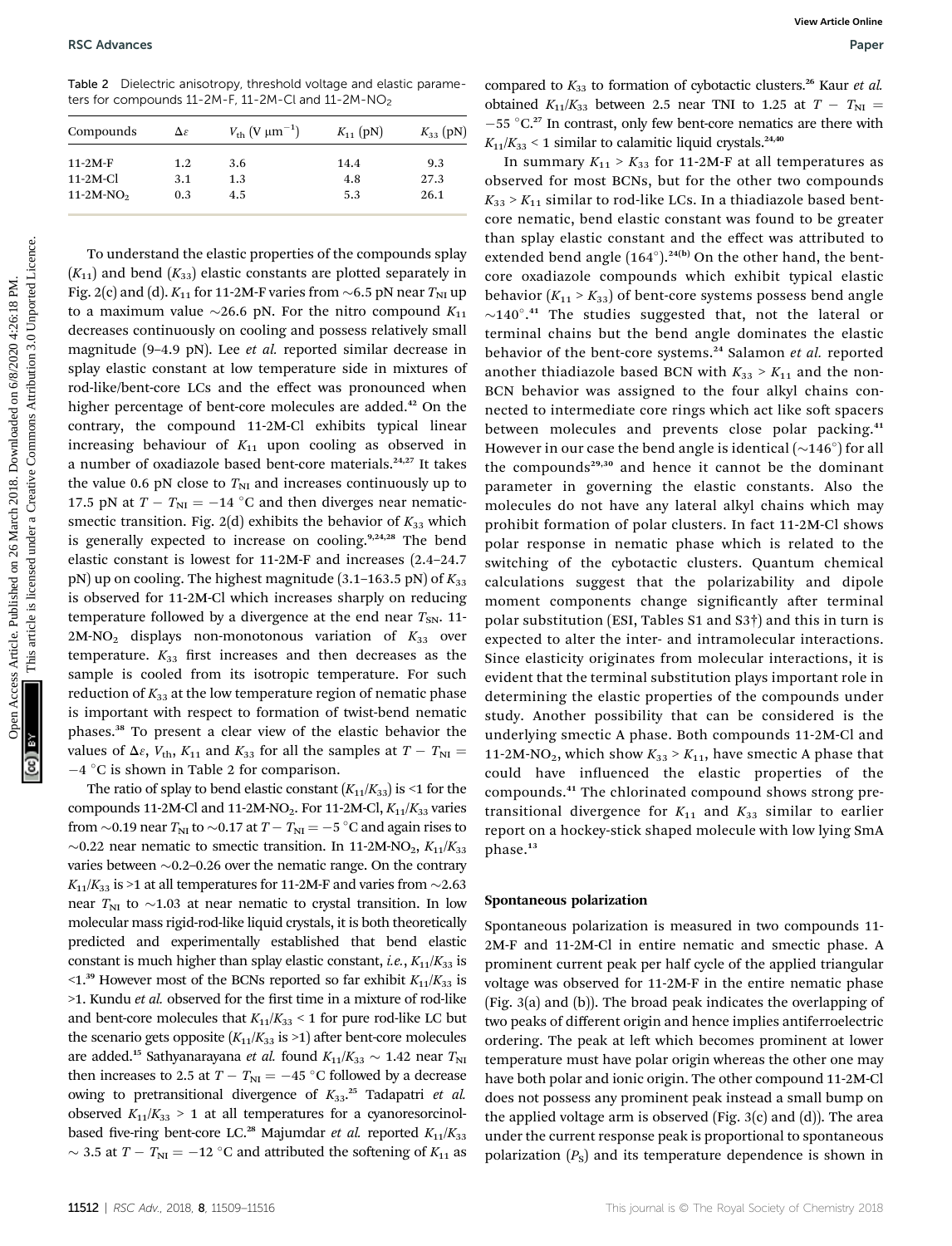Table 2 Dielectric anisotropy, threshold voltage and elastic parameters for compounds 11-2M-F, 11-2M-Cl and 11-2M-NO<sub>2</sub>

| Compounds   | Δε  | $V_{\text{th}}$ (V $\mu$ m <sup>-1</sup> ) | $K_{11}$ (pN) | $K_{33}$ (pN) |
|-------------|-----|--------------------------------------------|---------------|---------------|
| $11-2M-F$   | 1.2 | 3.6                                        | 14.4          | 9.3           |
| $11-2M$ -Cl | 3.1 | 1.3                                        | 4.8           | 27.3          |
| $11-2M-NO2$ | 0.3 | 4.5                                        | 5.3           | 26.1          |

To understand the elastic properties of the compounds splay  $(K_{11})$  and bend  $(K_{33})$  elastic constants are plotted separately in Fig. 2(c) and (d).  $K_{11}$  for 11-2M-F varies from  $\sim$  6.5 pN near  $T_{\text{NI}}$  up to a maximum value  $\sim$ 26.6 pN. For the nitro compound  $K_{11}$ decreases continuously on cooling and possess relatively small magnitude (9–4.9 pN). Lee et al. reported similar decrease in splay elastic constant at low temperature side in mixtures of rod-like/bent-core LCs and the effect was pronounced when higher percentage of bent-core molecules are added.<sup>42</sup> On the contrary, the compound 11-2M-Cl exhibits typical linear increasing behaviour of  $K_{11}$  upon cooling as observed in a number of oxadiazole based bent-core materials.<sup>24,27</sup> It takes the value 0.6 pN close to  $T_{\text{NI}}$  and increases continuously up to 17.5 pN at  $T - T_{\text{NI}} = -14$  °C and then diverges near nematicsmectic transition. Fig. 2(d) exhibits the behavior of  $K_{33}$  which is generally expected to increase on cooling.9,24,28 The bend elastic constant is lowest for 11-2M-F and increases (2.4–24.7 pN) up on cooling. The highest magnitude  $(3.1-163.5 \text{ pN})$  of  $K_{33}$ is observed for 11-2M-Cl which increases sharply on reducing temperature followed by a divergence at the end near  $T_{SN}$ . 11- $2M-NO<sub>2</sub>$  displays non-monotonous variation of  $K<sub>33</sub>$  over temperature.  $K_{33}$  first increases and then decreases as the sample is cooled from its isotropic temperature. For such reduction of  $K_{33}$  at the low temperature region of nematic phase is important with respect to formation of twist-bend nematic phases.<sup>38</sup> To present a clear view of the elastic behavior the values of  $\Delta \varepsilon$ ,  $V_{th}$ ,  $K_{11}$  and  $K_{33}$  for all the samples at  $T - T_{NI} =$  $-4$  °C is shown in Table 2 for comparison.

The ratio of splay to bend elastic constant  $(K_{11}/K_{33})$  is <1 for the compounds 11-2M-Cl and 11-2M-NO<sub>2</sub>. For 11-2M-Cl,  $K_{11}/K_{33}$  varies from  $\sim$ 0.19 near  $T_{\text{NI}}$  to  $\sim$ 0.17 at  $T - T_{\text{NI}} = -5$  °C and again rises to  $\sim$ 0.22 near nematic to smectic transition. In 11-2M-NO<sub>2</sub>,  $K_{11}/K_{33}$ varies between  $\sim 0.2$ –0.26 over the nematic range. On the contrary  $K_{11}/K_{33}$  is >1 at all temperatures for 11-2M-F and varies from  $\sim$  2.63 near  $T_{\text{NI}}$  to  $\sim$ 1.03 at near nematic to crystal transition. In low molecular mass rigid-rod-like liquid crystals, it is both theoretically predicted and experimentally established that bend elastic constant is much higher than splay elastic constant, *i.e.*,  $K_{11}/K_{33}$  is  $\leq$ 1.<sup>39</sup> However most of the BCNs reported so far exhibit  $K_{11}/K_{33}$  is  $>1$ . Kundu *et al.* observed for the first time in a mixture of rod-like and bent-core molecules that  $K_{11}/K_{33}$  < 1 for pure rod-like LC but the scenario gets opposite  $(K_{11}/K_{33} \text{ is } >1)$  after bent-core molecules are added.<sup>15</sup> Sathyanarayana *et al.* found  $K_{11}/K_{33} \sim$  1.42 near  $T_{\rm NI}$ then increases to 2.5 at  $T - T_{\text{NI}} = -45$  °C followed by a decrease owing to pretransitional divergence of  $K_{33}$ <sup>25</sup> Tadapatri et al. observed  $K_{11}/K_{33} > 1$  at all temperatures for a cyanoresorcinolbased five-ring bent-core LC.<sup>28</sup> Majumdar et al. reported  $K_{11}/K_{33}$  $\sim$  3.5 at  $T - T_{\text{NI}} = -12$  °C and attributed the softening of  $K_{11}$  as

compared to  $K_{33}$  to formation of cybotactic clusters.<sup>26</sup> Kaur *et al.* obtained  $K_{11}/K_{33}$  between 2.5 near TNI to 1.25 at  $T - T_{\text{NI}} =$  $-55$  °C.<sup>27</sup> In contrast, only few bent-core nematics are there with  $K_{11}/K_{33}$  < 1 similar to calamitic liquid crystals.<sup>24,40</sup>

In summary  $K_{11} > K_{33}$  for 11-2M-F at all temperatures as observed for most BCNs, but for the other two compounds  $K_{33}$  >  $K_{11}$  similar to rod-like LCs. In a thiadiazole based bentcore nematic, bend elastic constant was found to be greater than splay elastic constant and the effect was attributed to extended bend angle  $(164^{\circ})$ .<sup>24(b)</sup> On the other hand, the bentcore oxadiazole compounds which exhibit typical elastic behavior  $(K_{11} > K_{33})$  of bent-core systems possess bend angle  $\sim$ 140 $^{\circ}$ .<sup>41</sup> The studies suggested that, not the lateral or terminal chains but the bend angle dominates the elastic behavior of the bent-core systems.<sup>24</sup> Salamon et al. reported another thiadiazole based BCN with  $K_{33} > K_{11}$  and the non-BCN behavior was assigned to the four alkyl chains connected to intermediate core rings which act like soft spacers between molecules and prevents close polar packing.<sup>41</sup> However in our case the bend angle is identical  $(\sim 146^\circ)$  for all the compounds<sup>29,30</sup> and hence it cannot be the dominant parameter in governing the elastic constants. Also the molecules do not have any lateral alkyl chains which may prohibit formation of polar clusters. In fact 11-2M-Cl shows polar response in nematic phase which is related to the switching of the cybotactic clusters. Quantum chemical calculations suggest that the polarizability and dipole moment components change significantly after terminal polar substitution (ESI, Tables S1 and S3†) and this in turn is expected to alter the inter- and intramolecular interactions. Since elasticity originates from molecular interactions, it is evident that the terminal substitution plays important role in determining the elastic properties of the compounds under study. Another possibility that can be considered is the underlying smectic A phase. Both compounds 11-2M-Cl and 11-2M-NO<sub>2</sub>, which show  $K_{33} > K_{11}$ , have smectic A phase that could have influenced the elastic properties of the compounds.<sup>41</sup> The chlorinated compound shows strong pretransitional divergence for  $K_{11}$  and  $K_{33}$  similar to earlier report on a hockey-stick shaped molecule with low lying SmA phase.<sup>13</sup> **PSC** Advances **Conserting.** Traditional conserting articles. Published on 26 March 2018. The consertion of  $\frac{1}{2}$  Creative Conserting and Conserting are conserted under the compound  $\frac{1}{2}$  Creative Commons Article

#### Spontaneous polarization

Spontaneous polarization is measured in two compounds 11- 2M-F and 11-2M-Cl in entire nematic and smectic phase. A prominent current peak per half cycle of the applied triangular voltage was observed for 11-2M-F in the entire nematic phase (Fig. 3(a) and (b)). The broad peak indicates the overlapping of two peaks of different origin and hence implies antiferroelectric ordering. The peak at left which becomes prominent at lower temperature must have polar origin whereas the other one may have both polar and ionic origin. The other compound 11-2M-Cl does not possess any prominent peak instead a small bump on the applied voltage arm is observed (Fig.  $3(c)$  and (d)). The area under the current response peak is proportional to spontaneous polarization  $(P<sub>S</sub>)$  and its temperature dependence is shown in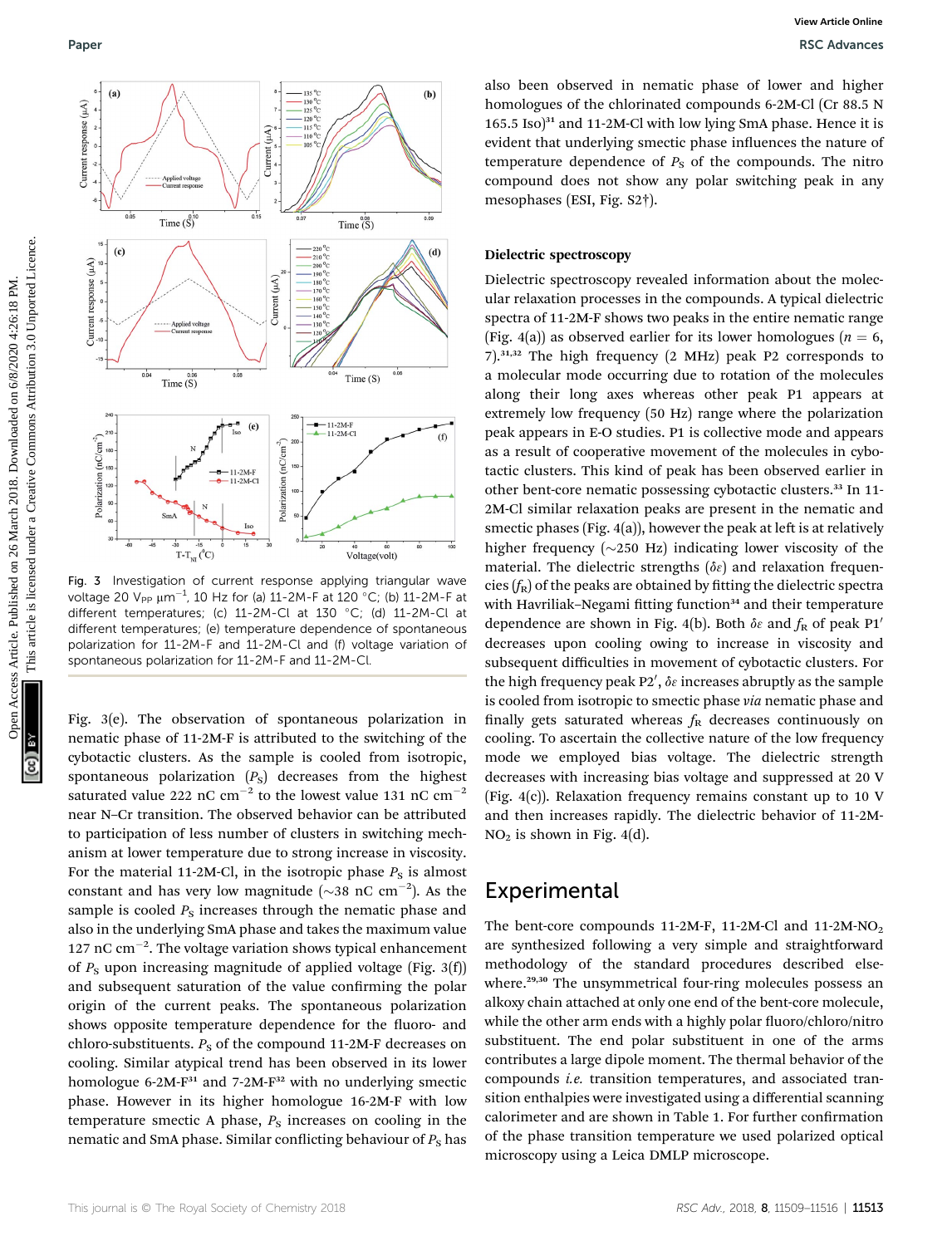

Fig. 3 Investigation of current response applying triangular wave voltage 20 V<sub>PP  $\mu$ m $^{-1}$ , 10 Hz for (a) 11-2M-F at 120 °C; (b) 11-2M-F at</sub> different temperatures; (c) 11-2M-Cl at 130 °C; (d) 11-2M-Cl at different temperatures; (e) temperature dependence of spontaneous polarization for 11-2M-F and 11-2M-Cl and (f) voltage variation of spontaneous polarization for 11-2M-F and 11-2M-Cl.

Fig. 3(e). The observation of spontaneous polarization in nematic phase of 11-2M-F is attributed to the switching of the cybotactic clusters. As the sample is cooled from isotropic, spontaneous polarization  $(P<sub>S</sub>)$  decreases from the highest saturated value 222 nC cm<sup>-2</sup> to the lowest value 131 nC cm<sup>-2</sup> near N–Cr transition. The observed behavior can be attributed to participation of less number of clusters in switching mechanism at lower temperature due to strong increase in viscosity. For the material 11-2M-Cl, in the isotropic phase  $P<sub>S</sub>$  is almost constant and has very low magnitude ( $\sim$ 38 nC cm<sup>-2</sup>). As the sample is cooled  $P<sub>S</sub>$  increases through the nematic phase and also in the underlying SmA phase and takes the maximum value 127 nC cm $^{-2}$ . The voltage variation shows typical enhancement of  $P<sub>S</sub>$  upon increasing magnitude of applied voltage (Fig. 3(f)) and subsequent saturation of the value confirming the polar origin of the current peaks. The spontaneous polarization shows opposite temperature dependence for the fluoro- and chloro-substituents.  $P_S$  of the compound 11-2M-F decreases on cooling. Similar atypical trend has been observed in its lower homologue 6-2M-F<sup>31</sup> and 7-2M-F<sup>32</sup> with no underlying smectic phase. However in its higher homologue 16-2M-F with low temperature smectic A phase,  $P<sub>S</sub>$  increases on cooling in the nematic and SmA phase. Similar conflicting behaviour of  $P<sub>S</sub>$  has

also been observed in nematic phase of lower and higher homologues of the chlorinated compounds 6-2M-Cl (Cr 88.5 N 165.5 Iso)<sup>31</sup> and 11-2M-Cl with low lying SmA phase. Hence it is evident that underlying smectic phase influences the nature of temperature dependence of  $P<sub>S</sub>$  of the compounds. The nitro compound does not show any polar switching peak in any mesophases (ESI, Fig. S2†).

#### Dielectric spectroscopy

Dielectric spectroscopy revealed information about the molecular relaxation processes in the compounds. A typical dielectric spectra of 11-2M-F shows two peaks in the entire nematic range (Fig. 4(a)) as observed earlier for its lower homologues ( $n = 6$ , 7).31,32 The high frequency (2 MHz) peak P2 corresponds to a molecular mode occurring due to rotation of the molecules along their long axes whereas other peak P1 appears at extremely low frequency (50 Hz) range where the polarization peak appears in E-O studies. P1 is collective mode and appears as a result of cooperative movement of the molecules in cybotactic clusters. This kind of peak has been observed earlier in other bent-core nematic possessing cybotactic clusters.<sup>33</sup> In 11-2M-Cl similar relaxation peaks are present in the nematic and smectic phases (Fig. 4(a)), however the peak at left is at relatively higher frequency ( $\sim$ 250 Hz) indicating lower viscosity of the material. The dielectric strengths  $(\delta \varepsilon)$  and relaxation frequencies  $(f_R)$  of the peaks are obtained by fitting the dielectric spectra with Havriliak–Negami fitting function<sup>34</sup> and their temperature dependence are shown in Fig. 4(b). Both  $\delta \varepsilon$  and  $f_R$  of peak P1' decreases upon cooling owing to increase in viscosity and subsequent difficulties in movement of cybotactic clusters. For the high frequency peak P2',  $\delta \varepsilon$  increases abruptly as the sample is cooled from isotropic to smectic phase via nematic phase and finally gets saturated whereas  $f<sub>R</sub>$  decreases continuously on cooling. To ascertain the collective nature of the low frequency mode we employed bias voltage. The dielectric strength decreases with increasing bias voltage and suppressed at 20 V (Fig. 4(c)). Relaxation frequency remains constant up to 10 V and then increases rapidly. The dielectric behavior of 11-2M- $NO<sub>2</sub>$  is shown in Fig. 4(d).

### Experimental

The bent-core compounds 11-2M-F, 11-2M-Cl and 11-2M-NO<sub>2</sub> are synthesized following a very simple and straightforward methodology of the standard procedures described elsewhere.<sup>29,30</sup> The unsymmetrical four-ring molecules possess an alkoxy chain attached at only one end of the bent-core molecule, while the other arm ends with a highly polar fluoro/chloro/nitro substituent. The end polar substituent in one of the arms contributes a large dipole moment. The thermal behavior of the compounds i.e. transition temperatures, and associated transition enthalpies were investigated using a differential scanning calorimeter and are shown in Table 1. For further confirmation of the phase transition temperature we used polarized optical microscopy using a Leica DMLP microscope.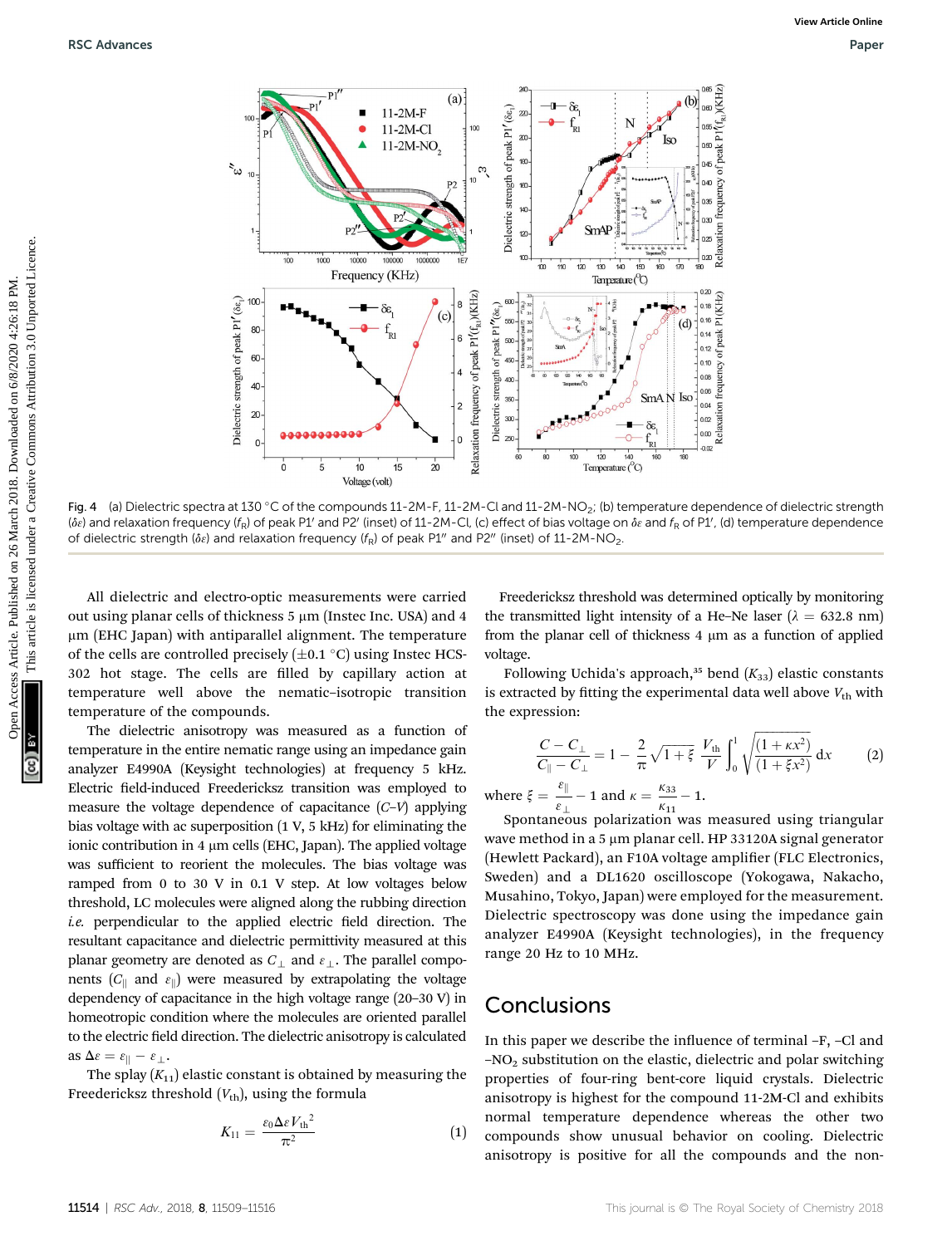

Fig. 4 (a) Dielectric spectra at 130 °C of the compounds 11-2M-F, 11-2M-Cl and 11-2M-NO<sub>2</sub>; (b) temperature dependence of dielectric strength ( $\delta\varepsilon$ ) and relaxation frequency ( $f_{\sf R}$ ) of peak P1' and P2' (inset) of 11-2M-Cl, (c) effect of bias voltage on  $\delta\varepsilon$  and  $f_{\sf R}$  of P1', (d) temperature dependence of dielectric strength ( $\delta \varepsilon$ ) and relaxation frequency ( $f_R$ ) of peak P1<sup>n</sup> and P2<sup>n</sup> (inset) of 11-2M-NO<sub>2</sub>.

All dielectric and electro-optic measurements were carried out using planar cells of thickness  $5 \mu m$  (Instec Inc. USA) and  $4$ mm (EHC Japan) with antiparallel alignment. The temperature of the cells are controlled precisely  $(\pm 0.1 \degree C)$  using Instec HCS-302 hot stage. The cells are filled by capillary action at temperature well above the nematic–isotropic transition temperature of the compounds.

The dielectric anisotropy was measured as a function of temperature in the entire nematic range using an impedance gain analyzer E4990A (Keysight technologies) at frequency 5 kHz. Electric field-induced Freedericksz transition was employed to measure the voltage dependence of capacitance  $(C-V)$  applying bias voltage with ac superposition (1 V, 5 kHz) for eliminating the ionic contribution in 4  $\mu$ m cells (EHC, Japan). The applied voltage was sufficient to reorient the molecules. The bias voltage was ramped from 0 to 30 V in 0.1 V step. At low voltages below threshold, LC molecules were aligned along the rubbing direction  $i.e.$  perpendicular to the applied electric field direction. The resultant capacitance and dielectric permittivity measured at this planar geometry are denoted as  $C_{\perp}$  and  $\varepsilon_{\perp}$ . The parallel components ( $C_{\parallel}$  and  $\varepsilon_{\parallel}$ ) were measured by extrapolating the voltage dependency of capacitance in the high voltage range (20–30 V) in homeotropic condition where the molecules are oriented parallel to the electric field direction. The dielectric anisotropy is calculated as  $\Delta \varepsilon = \varepsilon_{\parallel} - \varepsilon_{\perp}$ .

The splay  $(K_{11})$  elastic constant is obtained by measuring the Freedericksz threshold  $(V_{\text{th}})$ , using the formula

$$
K_{11} = \frac{\varepsilon_0 \Delta \varepsilon V_{\text{th}}^2}{\pi^2} \tag{1}
$$

Freedericksz threshold was determined optically by monitoring the transmitted light intensity of a He–Ne laser ( $\lambda = 632.8$  nm) from the planar cell of thickness  $4 \mu m$  as a function of applied voltage.

Following Uchida's approach,<sup>35</sup> bend  $(K_{33})$  elastic constants is extracted by fitting the experimental data well above  $V_{th}$  with the expression:

$$
\frac{C - C_{\perp}}{C_{\parallel} - C_{\perp}} = 1 - \frac{2}{\pi} \sqrt{1 + \xi} \frac{V_{\text{th}}}{V} \int_0^1 \sqrt{\frac{(1 + \kappa x^2)}{(1 + \xi x^2)}} \, \mathrm{d}x \tag{2}
$$

where  $\xi = \frac{\varepsilon_{\parallel}}{\varepsilon_{\perp}} - 1$  and  $\kappa = \frac{\kappa_{33}}{\kappa_{11}} - 1$ .

Spontaneous polarization was measured using triangular wave method in a 5  $\mu$ m planar cell. HP 33120A signal generator (Hewlett Packard), an F10A voltage amplifier (FLC Electronics, Sweden) and a DL1620 oscilloscope (Yokogawa, Nakacho, Musahino, Tokyo, Japan) were employed for the measurement. Dielectric spectroscopy was done using the impedance gain analyzer E4990A (Keysight technologies), in the frequency range 20 Hz to 10 MHz.

## **Conclusions**

In this paper we describe the influence of terminal  $-F$ ,  $-Cl$  and  $-NO<sub>2</sub>$  substitution on the elastic, dielectric and polar switching properties of four-ring bent-core liquid crystals. Dielectric anisotropy is highest for the compound 11-2M-Cl and exhibits normal temperature dependence whereas the other two compounds show unusual behavior on cooling. Dielectric anisotropy is positive for all the compounds and the non-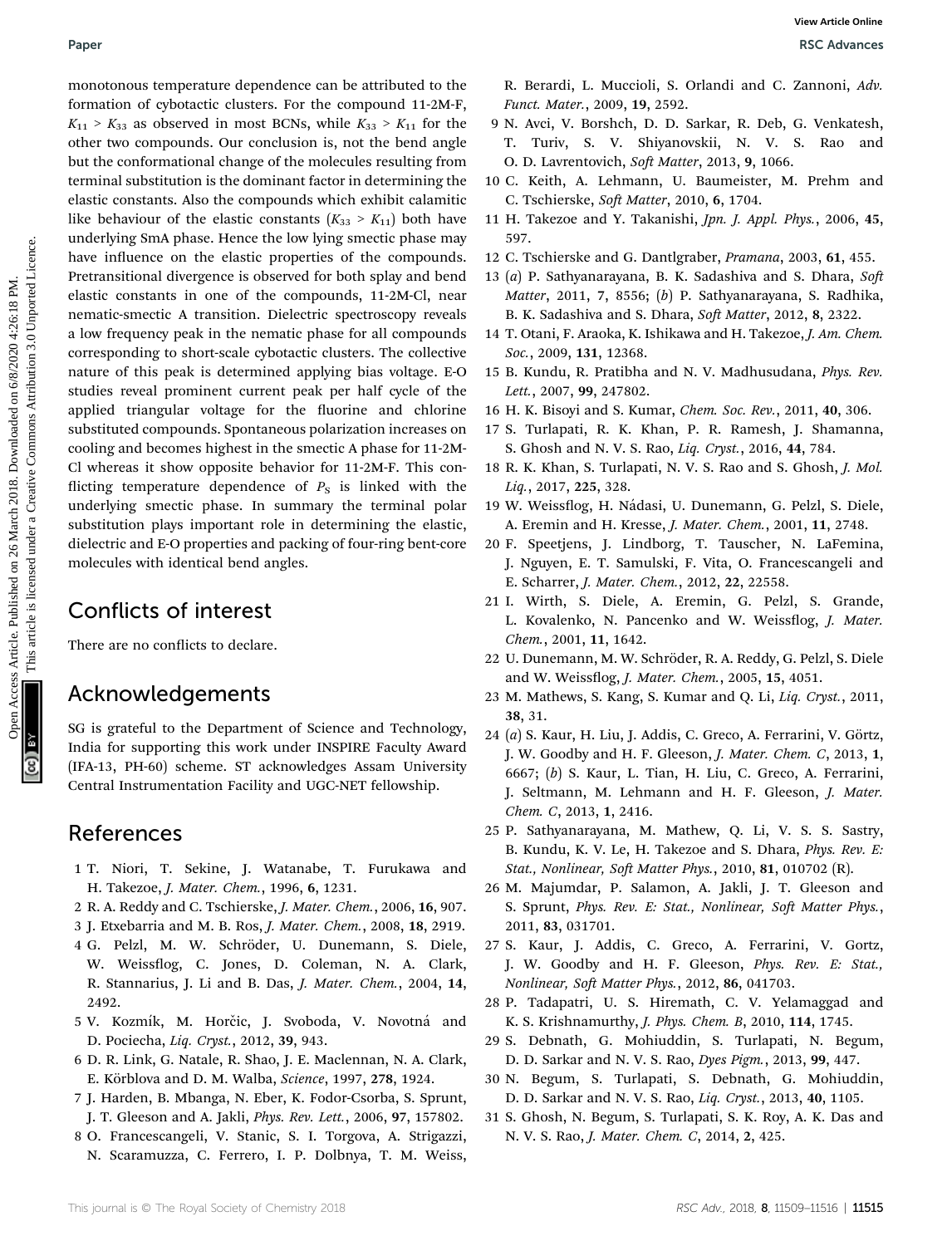monotonous temperature dependence can be attributed to the formation of cybotactic clusters. For the compound 11-2M-F,  $K_{11} > K_{33}$  as observed in most BCNs, while  $K_{33} > K_{11}$  for the other two compounds. Our conclusion is, not the bend angle but the conformational change of the molecules resulting from terminal substitution is the dominant factor in determining the elastic constants. Also the compounds which exhibit calamitic like behaviour of the elastic constants  $(K_{33} > K_{11})$  both have underlying SmA phase. Hence the low lying smectic phase may have influence on the elastic properties of the compounds. Pretransitional divergence is observed for both splay and bend elastic constants in one of the compounds, 11-2M-Cl, near nematic-smectic A transition. Dielectric spectroscopy reveals a low frequency peak in the nematic phase for all compounds corresponding to short-scale cybotactic clusters. The collective nature of this peak is determined applying bias voltage. E-O studies reveal prominent current peak per half cycle of the applied triangular voltage for the fluorine and chlorine substituted compounds. Spontaneous polarization increases on cooling and becomes highest in the smectic A phase for 11-2M-Cl whereas it show opposite behavior for 11-2M-F. This con flicting temperature dependence of  $P<sub>S</sub>$  is linked with the underlying smectic phase. In summary the terminal polar substitution plays important role in determining the elastic, dielectric and E-O properties and packing of four-ring bent-core molecules with identical bend angles. Paper Wave contents are presented on 26 March 2018. The method on 26 March 2018. Contents Articles. Now the component of contents are the common and the common of the common and the common and the common and the common and

## Conflicts of interest

There are no conflicts to declare.

## Acknowledgements

SG is grateful to the Department of Science and Technology, India for supporting this work under INSPIRE Faculty Award (IFA-13, PH-60) scheme. ST acknowledges Assam University Central Instrumentation Facility and UGC-NET fellowship.

## References

- 1 T. Niori, T. Sekine, J. Watanabe, T. Furukawa and H. Takezoe, J. Mater. Chem., 1996, 6, 1231.
- 2 R. A. Reddy and C. Tschierske, J. Mater. Chem., 2006, 16, 907.
- 3 J. Etxebarria and M. B. Ros, J. Mater. Chem., 2008, 18, 2919.
- 4 G. Pelzl, M. W. Schröder, U. Dunemann, S. Diele, W. Weissflog, C. Jones, D. Coleman, N. A. Clark, R. Stannarius, J. Li and B. Das, J. Mater. Chem., 2004, 14, 2492.
- 5 V. Kozmík, M. Horčic, J. Svoboda, V. Novotná and D. Pociecha, Liq. Cryst., 2012, 39, 943.
- 6 D. R. Link, G. Natale, R. Shao, J. E. Maclennan, N. A. Clark, E. Körblova and D. M. Walba, Science, 1997, 278, 1924.
- 7 J. Harden, B. Mbanga, N. Eber, K. Fodor-Csorba, S. Sprunt, J. T. Gleeson and A. Jakli, Phys. Rev. Lett., 2006, 97, 157802.
- 8 O. Francescangeli, V. Stanic, S. I. Torgova, A. Strigazzi,
- N. Scaramuzza, C. Ferrero, I. P. Dolbnya, T. M. Weiss,

R. Berardi, L. Muccioli, S. Orlandi and C. Zannoni, Adv. Funct. Mater., 2009, 19, 2592.

- 9 N. Avci, V. Borshch, D. D. Sarkar, R. Deb, G. Venkatesh, T. Turiv, S. V. Shiyanovskii, N. V. S. Rao and O. D. Lavrentovich, Soft Matter, 2013, 9, 1066.
- 10 C. Keith, A. Lehmann, U. Baumeister, M. Prehm and C. Tschierske, Soft Matter, 2010, 6, 1704.
- 11 H. Takezoe and Y. Takanishi, Jpn. J. Appl. Phys., 2006, 45, 597.
- 12 C. Tschierske and G. Dantlgraber, Pramana, 2003, 61, 455.
- 13 (a) P. Sathyanarayana, B. K. Sadashiva and S. Dhara,  $Soft$ Matter, 2011, 7, 8556; (b) P. Sathyanarayana, S. Radhika, B. K. Sadashiva and S. Dhara, Soft Matter, 2012, 8, 2322.
- 14 T. Otani, F. Araoka, K. Ishikawa and H. Takezoe, J. Am. Chem. Soc., 2009, 131, 12368.
- 15 B. Kundu, R. Pratibha and N. V. Madhusudana, Phys. Rev. Lett., 2007, 99, 247802.
- 16 H. K. Bisoyi and S. Kumar, Chem. Soc. Rev., 2011, 40, 306.
- 17 S. Turlapati, R. K. Khan, P. R. Ramesh, J. Shamanna, S. Ghosh and N. V. S. Rao, Liq. Cryst., 2016, 44, 784.
- 18 R. K. Khan, S. Turlapati, N. V. S. Rao and S. Ghosh, J. Mol. Liq., 2017, 225, 328.
- 19 W. Weissflog, H. Nádasi, U. Dunemann, G. Pelzl, S. Diele, A. Eremin and H. Kresse, J. Mater. Chem., 2001, 11, 2748.
- 20 F. Speetjens, J. Lindborg, T. Tauscher, N. LaFemina, J. Nguyen, E. T. Samulski, F. Vita, O. Francescangeli and E. Scharrer, J. Mater. Chem., 2012, 22, 22558.
- 21 I. Wirth, S. Diele, A. Eremin, G. Pelzl, S. Grande, L. Kovalenko, N. Pancenko and W. Weissflog, J. Mater. Chem., 2001, 11, 1642.
- 22 U. Dunemann, M. W. Schröder, R. A. Reddy, G. Pelzl, S. Diele and W. Weissflog, J. Mater. Chem., 2005, 15, 4051.
- 23 M. Mathews, S. Kang, S. Kumar and Q. Li, Liq. Cryst., 2011, 38, 31.
- 24 (a) S. Kaur, H. Liu, J. Addis, C. Greco, A. Ferrarini, V. Görtz, J. W. Goodby and H. F. Gleeson, J. Mater. Chem. C, 2013, 1, 6667; (b) S. Kaur, L. Tian, H. Liu, C. Greco, A. Ferrarini, J. Seltmann, M. Lehmann and H. F. Gleeson, J. Mater. Chem. C, 2013, 1, 2416.
- 25 P. Sathyanarayana, M. Mathew, Q. Li, V. S. S. Sastry, B. Kundu, K. V. Le, H. Takezoe and S. Dhara, Phys. Rev. E: Stat., Nonlinear, Soft Matter Phys., 2010, 81, 010702 (R).
- 26 M. Majumdar, P. Salamon, A. Jakli, J. T. Gleeson and S. Sprunt, Phys. Rev. E: Stat., Nonlinear, Soft Matter Phys., 2011, 83, 031701.
- 27 S. Kaur, J. Addis, C. Greco, A. Ferrarini, V. Gortz, J. W. Goodby and H. F. Gleeson, Phys. Rev. E: Stat., Nonlinear, Soft Matter Phys., 2012, 86, 041703.
- 28 P. Tadapatri, U. S. Hiremath, C. V. Yelamaggad and K. S. Krishnamurthy, J. Phys. Chem. B, 2010, 114, 1745.
- 29 S. Debnath, G. Mohiuddin, S. Turlapati, N. Begum, D. D. Sarkar and N. V. S. Rao, Dyes Pigm., 2013, 99, 447.
- 30 N. Begum, S. Turlapati, S. Debnath, G. Mohiuddin, D. D. Sarkar and N. V. S. Rao, Liq. Cryst., 2013, 40, 1105.
- 31 S. Ghosh, N. Begum, S. Turlapati, S. K. Roy, A. K. Das and N. V. S. Rao, J. Mater. Chem. C, 2014, 2, 425.